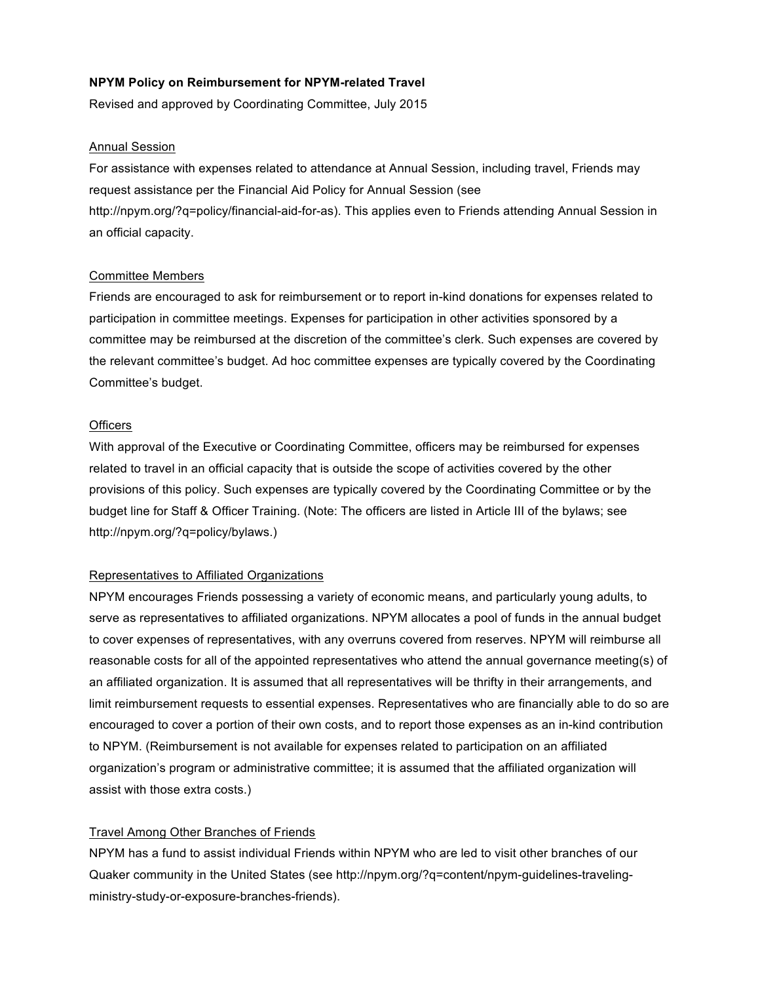## **NPYM Policy on Reimbursement for NPYM-related Travel**

Revised and approved by Coordinating Committee, July 2015

#### Annual Session

For assistance with expenses related to attendance at Annual Session, including travel, Friends may request assistance per the Financial Aid Policy for Annual Session (see http://npym.org/?q=policy/financial-aid-for-as). This applies even to Friends attending Annual Session in an official capacity.

## Committee Members

Friends are encouraged to ask for reimbursement or to report in-kind donations for expenses related to participation in committee meetings. Expenses for participation in other activities sponsored by a committee may be reimbursed at the discretion of the committee's clerk. Such expenses are covered by the relevant committee's budget. Ad hoc committee expenses are typically covered by the Coordinating Committee's budget.

#### **Officers**

With approval of the Executive or Coordinating Committee, officers may be reimbursed for expenses related to travel in an official capacity that is outside the scope of activities covered by the other provisions of this policy. Such expenses are typically covered by the Coordinating Committee or by the budget line for Staff & Officer Training. (Note: The officers are listed in Article III of the bylaws; see http://npym.org/?q=policy/bylaws.)

#### Representatives to Affiliated Organizations

NPYM encourages Friends possessing a variety of economic means, and particularly young adults, to serve as representatives to affiliated organizations. NPYM allocates a pool of funds in the annual budget to cover expenses of representatives, with any overruns covered from reserves. NPYM will reimburse all reasonable costs for all of the appointed representatives who attend the annual governance meeting(s) of an affiliated organization. It is assumed that all representatives will be thrifty in their arrangements, and limit reimbursement requests to essential expenses. Representatives who are financially able to do so are encouraged to cover a portion of their own costs, and to report those expenses as an in-kind contribution to NPYM. (Reimbursement is not available for expenses related to participation on an affiliated organization's program or administrative committee; it is assumed that the affiliated organization will assist with those extra costs.)

## Travel Among Other Branches of Friends

NPYM has a fund to assist individual Friends within NPYM who are led to visit other branches of our Quaker community in the United States (see http://npym.org/?q=content/npym-guidelines-travelingministry-study-or-exposure-branches-friends).